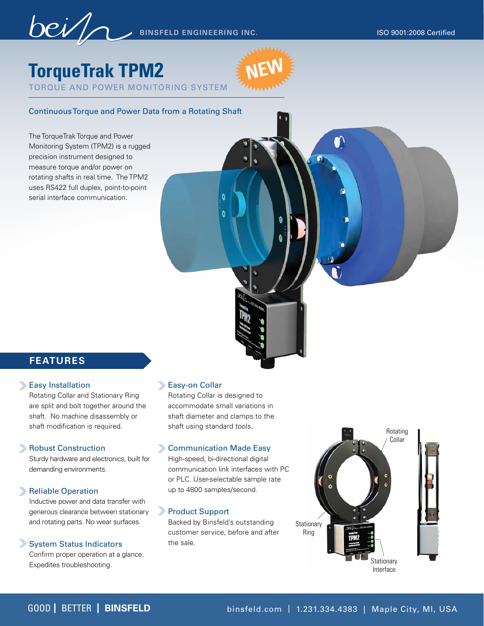**NEW**

n

**BINSFELD ENGINEERING INC.** ISO 9001:2008 Certified

# **TorqueTrak TPM2**

TORQUE AND POWER MONITORING SYSTEM

### Continuous Torque and Power Data from a Rotating Shaft

The TorqueTrak Torque and Power Monitoring System (TPM2) is a rugged precision instrument designed to measure torque and/or power on rotating shafts in real time. The TPM2 uses RS422 full duplex, point-to-point serial interface communication.

## **FEATURES**

#### **Easy Installation**

Rotating Collar and Stationary Ring are split and bolt together around the shaft. No machine disassembly or shaft modification is required.

#### Robust Construction

Sturdy hardware and electronics, built for demanding environments.

#### Reliable Operation

Inductive power and data transfer with generous clearance between stationary and rotating parts. No wear surfaces.

#### System Status Indicators

Confirm proper operation at a glance. Expedites troubleshooting.

#### **Easy-on Collar**

Rotating Collar is designed to accommodate small variations in shaft diameter and clamps to the shaft using standard tools.

#### **Communication Made Easy**

High-speed, bi-directional digital communication link interfaces with PC or PLC. User-selectable sample rate up to 4800 samples/second.

#### **Product Support**

Backed by Binsfeld's outstanding customer service, before and after the sale.